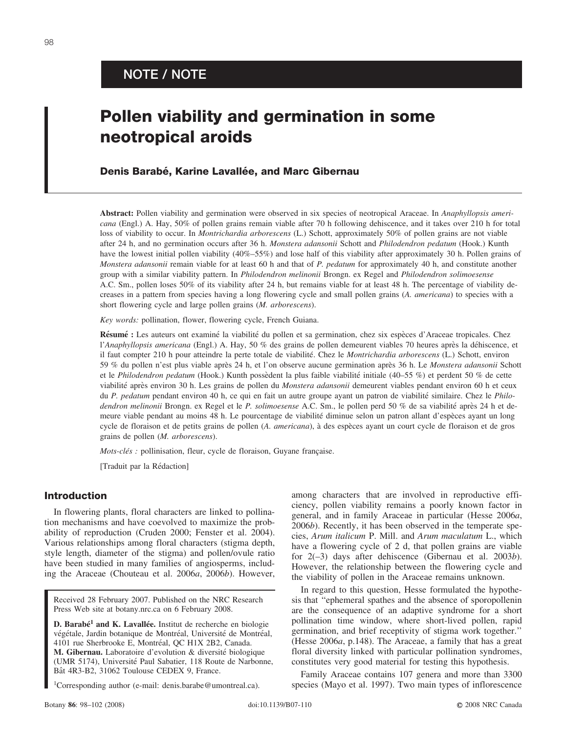# **NOTE / NOTE**

# **Pollen viability and germination in some neotropical aroids**

# Denis Barabé, Karine Lavallée, and Marc Gibernau

**Abstract:** Pollen viability and germination were observed in six species of neotropical Araceae. In *Anaphyllopsis americana* (Engl.) A. Hay, 50% of pollen grains remain viable after 70 h following dehiscence, and it takes over 210 h for total loss of viability to occur. In *Montrichardia arborescens* (L.) Schott, approximately 50% of pollen grains are not viable after 24 h, and no germination occurs after 36 h. *Monstera adansonii* Schott and *Philodendron pedatum* (Hook.) Kunth have the lowest initial pollen viability (40%–55%) and lose half of this viability after approximately 30 h. Pollen grains of *Monstera adansonii* remain viable for at least 60 h and that of *P. pedatum* for approximately 40 h, and constitute another group with a similar viability pattern. In *Philodendron melinonii* Brongn. ex Regel and *Philodendron solimoesense* A.C. Sm., pollen loses 50% of its viability after 24 h, but remains viable for at least 48 h. The percentage of viability decreases in a pattern from species having a long flowering cycle and small pollen grains (*A. americana*) to species with a short flowering cycle and large pollen grains (*M. arborescens*).

*Key words:* pollination, flower, flowering cycle, French Guiana.

Résumé : Les auteurs ont examiné la viabilité du pollen et sa germination, chez six espèces d'Araceae tropicales. Chez l'*Anaphyllopsis americana* (Engl.) A. Hay, 50 % des grains de pollen demeurent viables 70 heures après la déhiscence, et il faut compter 210 h pour atteindre la perte totale de viabilité. Chez le *Montrichardia arborescens* (L.) Schott, environ 59 % du pollen n'est plus viable apre`s 24 h, et l'on observe aucune germination apre`s 36 h. Le *Monstera adansonii* Schott et le *Philodendron pedatum* (Hook.) Kunth possèdent la plus faible viabilité initiale (40–55 %) et perdent 50 % de cette viabilité après environ 30 h. Les grains de pollen du *Monstera adansonii* demeurent viables pendant environ 60 h et ceux du *P. pedatum* pendant environ 40 h, ce qui en fait un autre groupe ayant un patron de viabilité similaire. Chez le *Philodendron melinonii* Brongn. ex Regel et le *P. solimoesense* A.C. Sm., le pollen perd 50 % de sa viabilité après 24 h et demeure viable pendant au moins 48 h. Le pourcentage de viabilité diminue selon un patron allant d'espèces ayant un long cycle de floraison et de petits grains de pollen (*A. americana*), à des espèces ayant un court cycle de floraison et de gros grains de pollen (*M. arborescens*).

*Mots-clés :* pollinisation, fleur, cycle de floraison, Guyane française.

[Traduit par la Rédaction]

# **Introduction**

In flowering plants, floral characters are linked to pollination mechanisms and have coevolved to maximize the probability of reproduction (Cruden 2000; Fenster et al. 2004). Various relationships among floral characters (stigma depth, style length, diameter of the stigma) and pollen/ovule ratio have been studied in many families of angiosperms, including the Araceae (Chouteau et al. 2006*a*, 2006*b*). However,

Received 28 February 2007. Published on the NRC Research Press Web site at botany.nrc.ca on 6 February 2008.

**D. Barabé<sup>1</sup> and K. Lavallée.** Institut de recherche en biologie végétale, Jardin botanique de Montréal, Université de Montréal, 4101 rue Sherbrooke E, Montréal, QC H1X 2B2, Canada. **M. Gibernau.** Laboratoire d'evolution & diversité biologique (UMR 5174), Université Paul Sabatier, 118 Route de Narbonne, Bât 4R3-B2, 31062 Toulouse CEDEX 9, France.

1Corresponding author (e-mail: denis.barabe@umontreal.ca).

among characters that are involved in reproductive efficiency, pollen viability remains a poorly known factor in general, and in family Araceae in particular (Hesse 2006*a*, 2006*b*). Recently, it has been observed in the temperate species, *Arum italicum* P. Mill. and *Arum maculatum* L., which have a flowering cycle of 2 d, that pollen grains are viable for 2(–3) days after dehiscence (Gibernau et al. 2003*b*). However, the relationship between the flowering cycle and the viability of pollen in the Araceae remains unknown.

In regard to this question, Hesse formulated the hypothesis that ''ephemeral spathes and the absence of sporopollenin are the consequence of an adaptive syndrome for a short pollination time window, where short-lived pollen, rapid germination, and brief receptivity of stigma work together.'' (Hesse 2006*a*, p.148). The Araceae, a family that has a great floral diversity linked with particular pollination syndromes, constitutes very good material for testing this hypothesis.

Family Araceae contains 107 genera and more than 3300 species (Mayo et al. 1997). Two main types of inflorescence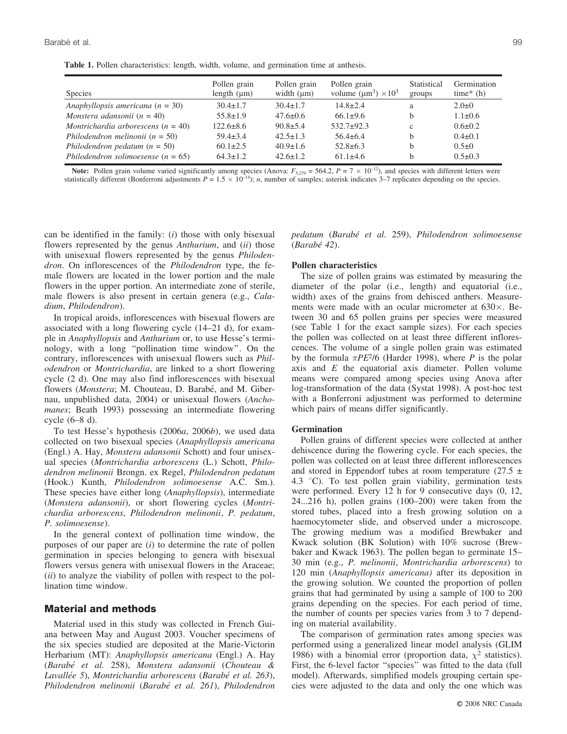**Table 1.** Pollen characteristics: length, width, volume, and germination time at anthesis.

| Species                                | Pollen grain<br>length $(\mu m)$ | Pollen grain<br>width $(\mu m)$ | Pollen grain<br>volume $(\mu m^3) \times 10^3$ | Statistical<br>groups | Germination<br>time* $(h)$ |
|----------------------------------------|----------------------------------|---------------------------------|------------------------------------------------|-----------------------|----------------------------|
| Anaphyllopsis americana ( $n = 30$ )   | $30.4 \pm 1.7$                   | $30.4 \pm 1.7$                  | $14.8 \pm 2.4$                                 | a                     | $2.0 \pm 0$                |
| Monstera adansonii ( $n = 40$ )        | $55.8 \pm 1.9$                   | $47.6 \pm 0.6$                  | $66.1 \pm 9.6$                                 |                       | $1.1 \pm 0.6$              |
| Montrichardia arborescens $(n = 40)$   | $122.6 \pm 8.6$                  | $90.8 \pm 5.4$                  | $532.7+92.3$                                   | c                     | $0.6 \pm 0.2$              |
| Philodendron melinonii ( $n = 50$ )    | $59.4 \pm 3.4$                   | $42.5 \pm 1.3$                  | $56.4 \pm 6.4$                                 |                       | $0.4\pm 0.1$               |
| Philodendron pedatum $(n = 50)$        | $60.1 \pm 2.5$                   | $40.9 \pm 1.6$                  | $52.8 \pm 6.3$                                 |                       | $0.5 \pm 0$                |
| Philodendron solimoesense ( $n = 65$ ) | $64.3 \pm 1.2$                   | $42.6 \pm 1.2$                  | $61.1 \pm 4.6$                                 |                       | $0.5 \pm 0.3$              |

**Note:** Pollen grain volume varied significantly among species (Anova:  $F_{5,279} = 564.2$ ,  $P = 7 \times 10^{-12}$ ), and species with different letters were statistically different (Bonferroni adjustments  $P = 1.5 \times 10^{-14}$ ); *n*, number of samples; asterisk indicates 3–7 replicates depending on the species.

can be identified in the family: (*i*) those with only bisexual flowers represented by the genus *Anthurium*, and (*ii*) those with unisexual flowers represented by the genus *Philodendron*. On inflorescences of the *Philodendron* type, the female flowers are located in the lower portion and the male flowers in the upper portion. An intermediate zone of sterile, male flowers is also present in certain genera (e.g., *Caladium*, *Philodendron*).

In tropical aroids, inflorescences with bisexual flowers are associated with a long flowering cycle (14–21 d), for example in *Anaphyllopsis* and *Anthurium* or, to use Hesse's terminology, with a long ''pollination time window''. On the contrary, inflorescences with unisexual flowers such as *Philodendron* or *Montrichardia*, are linked to a short flowering cycle (2 d). One may also find inflorescences with bisexual flowers (*Monstera*; M. Chouteau, D. Barabé, and M. Gibernau, unpublished data, 2004) or unisexual flowers (*Anchomanes*; Beath 1993) possessing an intermediate flowering cycle (6–8 d).

To test Hesse's hypothesis (2006*a*, 2006*b*), we used data collected on two bisexual species (*Anaphyllopsis americana* (Engl.) A. Hay, *Monstera adansonii* Schott) and four unisexual species (*Montrichardia arborescens* (L.) Schott, *Philodendron melinonii* Brongn. ex Regel, *Philodendron pedatum* (Hook.) Kunth, *Philodendron solimoesense* A.C. Sm.). These species have either long (*Anaphyllopsis*), intermediate (*Monstera adansonii*), or short flowering cycles (*Montrichardia arborescens*, *Philodendron melinonii*, *P. pedatum*, *P. solimoesense*).

In the general context of pollination time window, the purposes of our paper are (*i*) to determine the rate of pollen germination in species belonging to genera with bisexual flowers versus genera with unisexual flowers in the Araceae; (*ii*) to analyze the viability of pollen with respect to the pollination time window.

#### **Material and methods**

Material used in this study was collected in French Guiana between May and August 2003. Voucher specimens of the six species studied are deposited at the Marie-Victorin Herbarium (MT): *Anaphyllopsis americana* (Engl.) A. Hay (*Barabe´ et al.* 258), *Monstera adansonii* (*Chouteau & Lavalle´e 5*), *Montrichardia arborescens* (*Barabe´ et al. 263*), *Philodendron melinonii* (*Barabe´ et al. 261*), *Philodendron* *pedatum* (*Barabe´ et al.* 259), *Philodendron solimoesense* (*Barabe´ 42*).

#### **Pollen characteristics**

The size of pollen grains was estimated by measuring the diameter of the polar (i.e., length) and equatorial (i.e., width) axes of the grains from dehisced anthers. Measurements were made with an ocular micrometer at  $630\times$ . Between 30 and 65 pollen grains per species were measured (see Table 1 for the exact sample sizes). For each species the pollen was collected on at least three different inflorescences. The volume of a single pollen grain was estimated by the formula  $\pi PE^2/6$  (Harder 1998), where *P* is the polar axis and *E* the equatorial axis diameter. Pollen volume means were compared among species using Anova after log-transformation of the data (Systat 1998). A post-hoc test with a Bonferroni adjustment was performed to determine which pairs of means differ significantly.

#### **Germination**

Pollen grains of different species were collected at anther dehiscence during the flowering cycle. For each species, the pollen was collected on at least three different inflorescences and stored in Eppendorf tubes at room temperature  $(27.5 \pm 1)$ 4.3  $\degree$ C). To test pollen grain viability, germination tests were performed. Every 12 h for 9 consecutive days (0, 12, 24...216 h), pollen grains (100–200) were taken from the stored tubes, placed into a fresh growing solution on a haemocytometer slide, and observed under a microscope. The growing medium was a modified Brewbaker and Kwack solution (BK Solution) with 10% sucrose (Brewbaker and Kwack 1963). The pollen began to germinate 15– 30 min (e.g., *P. melinonii*, *Montrichardia arborescens*) to 120 min (*Anaphyllopsis americana)* after its deposition in the growing solution. We counted the proportion of pollen grains that had germinated by using a sample of 100 to 200 grains depending on the species. For each period of time, the number of counts per species varies from 3 to 7 depending on material availability.

The comparison of germination rates among species was performed using a generalized linear model analysis (GLIM 1986) with a binomial error (proportion data,  $\chi^2$  statistics). First, the 6-level factor ''species'' was fitted to the data (full model). Afterwards, simplified models grouping certain species were adjusted to the data and only the one which was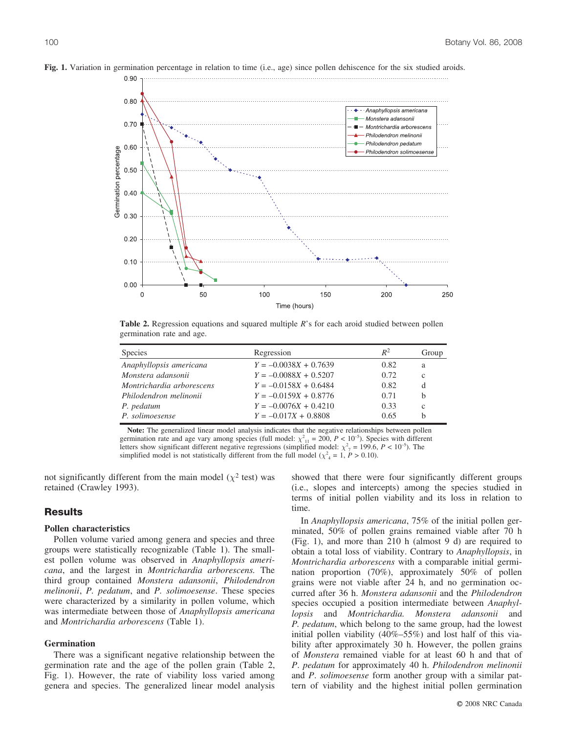

**Fig. 1.** Variation in germination percentage in relation to time (i.e., age) since pollen dehiscence for the six studied aroids.

**Table 2.** Regression equations and squared multiple *R*'s for each aroid studied between pollen germination rate and age.

| <b>Species</b>            | Regression              | $R^2$ | Group        |
|---------------------------|-------------------------|-------|--------------|
| Anaphyllopsis americana   | $Y = -0.0038X + 0.7639$ | 0.82  | a            |
| Monstera adansonii        | $Y = -0.0088X + 0.5207$ | 0.72  | $\mathbf{c}$ |
| Montrichardia arborescens | $Y = -0.0158X + 0.6484$ | 0.82  | d            |
| Philodendron melinonii    | $Y = -0.0159X + 0.8776$ | 0.71  | b            |
| P. pedatum                | $Y = -0.0076X + 0.4210$ | 0.33  | $\mathbf{c}$ |
| P. solimoesense           | $Y = -0.017X + 0.8808$  | 0.65  | b            |

**Note:** The generalized linear model analysis indicates that the negative relationships between pollen germination rate and age vary among species (full model:  $\chi^2_{11} = 200$ ,  $P < 10^{-5}$ ). Species with different letters show significant different negative regressions (simplified model:  $\chi^2$ <sub>7</sub> = 199.6, *P* < 10<sup>-5</sup>). The simplified model is not statistically different from the full model ( $\chi^2$ <sub>4</sub> = 1, *P* > 0.10).

not significantly different from the main model ( $\chi^2$  test) was retained (Crawley 1993).

# **Results**

### **Pollen characteristics**

Pollen volume varied among genera and species and three groups were statistically recognizable (Table 1). The smallest pollen volume was observed in *Anaphyllopsis americana*, and the largest in *Montrichardia arborescens.* The third group contained *Monstera adansonii*, *Philodendron melinonii*, *P. pedatum*, and *P. solimoesense*. These species were characterized by a similarity in pollen volume, which was intermediate between those of *Anaphyllopsis americana* and *Montrichardia arborescens* (Table 1).

### **Germination**

There was a significant negative relationship between the germination rate and the age of the pollen grain (Table 2, Fig. 1). However, the rate of viability loss varied among genera and species. The generalized linear model analysis showed that there were four significantly different groups (i.e., slopes and intercepts) among the species studied in terms of initial pollen viability and its loss in relation to time.

In *Anaphyllopsis americana*, 75% of the initial pollen germinated, 50% of pollen grains remained viable after 70 h (Fig. 1), and more than 210 h (almost 9 d) are required to obtain a total loss of viability. Contrary to *Anaphyllopsis*, in *Montrichardia arborescens* with a comparable initial germination proportion (70%), approximately 50% of pollen grains were not viable after 24 h, and no germination occurred after 36 h. *Monstera adansonii* and the *Philodendron* species occupied a position intermediate between *Anaphyllopsis* and *Montrichardia. Monstera adansonii* and *P. pedatum*, which belong to the same group, had the lowest initial pollen viability (40%–55%) and lost half of this viability after approximately 30 h. However, the pollen grains of *Monstera* remained viable for at least 60 h and that of *P*. *pedatum* for approximately 40 h. *Philodendron melinonii* and *P*. *solimoesense* form another group with a similar pattern of viability and the highest initial pollen germination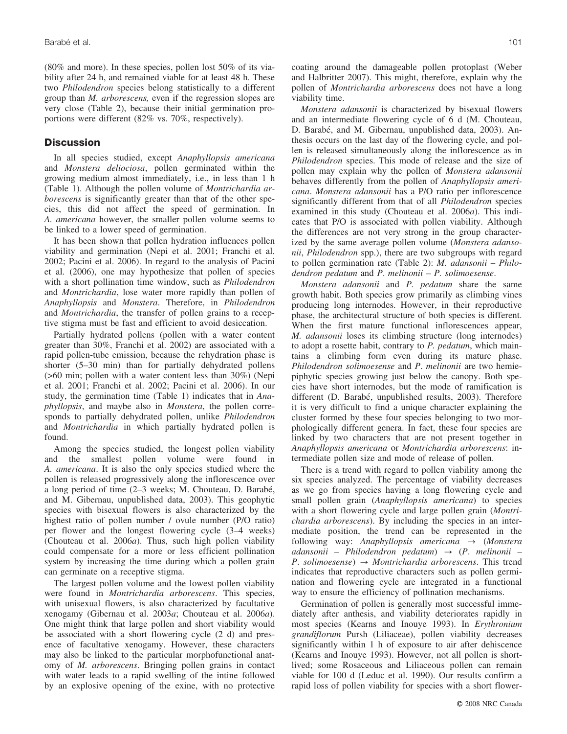(80% and more). In these species, pollen lost 50% of its viability after 24 h, and remained viable for at least 48 h. These two *Philodendron* species belong statistically to a different group than *M. arborescens,* even if the regression slopes are very close (Table 2), because their initial germination proportions were different (82% vs. 70%, respectively).

# **Discussion**

In all species studied, except *Anaphyllopsis americana* and *Monstera deliociosa*, pollen germinated within the growing medium almost immediately, i.e., in less than 1 h (Table 1). Although the pollen volume of *Montrichardia arborescens* is significantly greater than that of the other species, this did not affect the speed of germination. In *A. americana* however, the smaller pollen volume seems to be linked to a lower speed of germination.

It has been shown that pollen hydration influences pollen viability and germination (Nepi et al. 2001; Franchi et al. 2002; Pacini et al. 2006). In regard to the analysis of Pacini et al. (2006), one may hypothesize that pollen of species with a short pollination time window, such as *Philodendron* and *Montrichardia*, lose water more rapidly than pollen of *Anaphyllopsis* and *Monstera*. Therefore, in *Philodendron* and *Montrichardia*, the transfer of pollen grains to a receptive stigma must be fast and efficient to avoid desiccation.

Partially hydrated pollens (pollen with a water content greater than 30%, Franchi et al. 2002) are associated with a rapid pollen-tube emission, because the rehydration phase is shorter (5–30 min) than for partially dehydrated pollens (>60 min; pollen with a water content less than 30%) (Nepi et al. 2001; Franchi et al. 2002; Pacini et al. 2006). In our study, the germination time (Table 1) indicates that in *Anaphyllopsis*, and maybe also in *Monstera*, the pollen corresponds to partially dehydrated pollen, unlike *Philodendron* and *Montrichardia* in which partially hydrated pollen is found.

Among the species studied, the longest pollen viability and the smallest pollen volume were found in *A. americana*. It is also the only species studied where the pollen is released progressively along the inflorescence over a long period of time (2–3 weeks; M. Chouteau, D. Barabé, and M. Gibernau, unpublished data, 2003). This geophytic species with bisexual flowers is also characterized by the highest ratio of pollen number / ovule number (P/O ratio) per flower and the longest flowering cycle (3–4 weeks) (Chouteau et al. 2006*a*). Thus, such high pollen viability could compensate for a more or less efficient pollination system by increasing the time during which a pollen grain can germinate on a receptive stigma.

The largest pollen volume and the lowest pollen viability were found in *Montrichardia arborescens*. This species, with unisexual flowers, is also characterized by facultative xenogamy (Gibernau et al. 2003*a*; Chouteau et al. 2006*a*). One might think that large pollen and short viability would be associated with a short flowering cycle (2 d) and presence of facultative xenogamy. However, these characters may also be linked to the particular morphofunctional anatomy of *M. arborescens*. Bringing pollen grains in contact with water leads to a rapid swelling of the intine followed by an explosive opening of the exine, with no protective

coating around the damageable pollen protoplast (Weber and Halbritter 2007). This might, therefore, explain why the pollen of *Montrichardia arborescens* does not have a long viability time.

*Monstera adansonii* is characterized by bisexual flowers and an intermediate flowering cycle of 6 d (M. Chouteau, D. Barabé, and M. Gibernau, unpublished data, 2003). Anthesis occurs on the last day of the flowering cycle, and pollen is released simultaneously along the inflorescence as in *Philodendron* species. This mode of release and the size of pollen may explain why the pollen of *Monstera adansonii* behaves differently from the pollen of *Anaphyllopsis americana*. *Monstera adansonii* has a P/O ratio per inflorescence significantly different from that of all *Philodendron* species examined in this study (Chouteau et al. 2006*a*). This indicates that P/O is associated with pollen viability. Although the differences are not very strong in the group characterized by the same average pollen volume (*Monstera adansonii*, *Philodendron* spp.), there are two subgroups with regard to pollen germination rate (Table 2): *M. adansonii* – *Philodendron pedatum* and *P*. *melinonii* – *P. solimoesense*.

*Monstera adansonii* and *P. pedatum* share the same growth habit. Both species grow primarily as climbing vines producing long internodes. However, in their reproductive phase, the architectural structure of both species is different. When the first mature functional inflorescences appear, *M. adansonii* loses its climbing structure (long internodes) to adopt a rosette habit, contrary to *P. pedatum*, which maintains a climbing form even during its mature phase. *Philodendron solimoesense* and *P*. *melinonii* are two hemiepiphytic species growing just below the canopy. Both species have short internodes, but the mode of ramification is different (D. Barabé, unpublished results, 2003). Therefore it is very difficult to find a unique character explaining the cluster formed by these four species belonging to two morphologically different genera. In fact, these four species are linked by two characters that are not present together in *Anaphyllopsis americana* or *Montrichardia arborescens*: intermediate pollen size and mode of release of pollen.

There is a trend with regard to pollen viability among the six species analyzed. The percentage of viability decreases as we go from species having a long flowering cycle and small pollen grain (*Anaphyllopsis americana*) to species with a short flowering cycle and large pollen grain (*Montrichardia arborescens*). By including the species in an intermediate position, the trend can be represented in the following way: *Anaphyllopsis americana*  $\rightarrow$  (*Monstera adansonii* – *Philodendron pedatum*) ? (*P*. *melinonii* – *P. solimoesense*)  $\rightarrow$  *Montrichardia arborescens*. This trend indicates that reproductive characters such as pollen germination and flowering cycle are integrated in a functional way to ensure the efficiency of pollination mechanisms.

Germination of pollen is generally most successful immediately after anthesis, and viability deteriorates rapidly in most species (Kearns and Inouye 1993). In *Erythronium grandiflorum* Pursh (Liliaceae), pollen viability decreases significantly within 1 h of exposure to air after dehiscence (Kearns and Inouye 1993). However, not all pollen is shortlived; some Rosaceous and Liliaceous pollen can remain viable for 100 d (Leduc et al. 1990). Our results confirm a rapid loss of pollen viability for species with a short flower